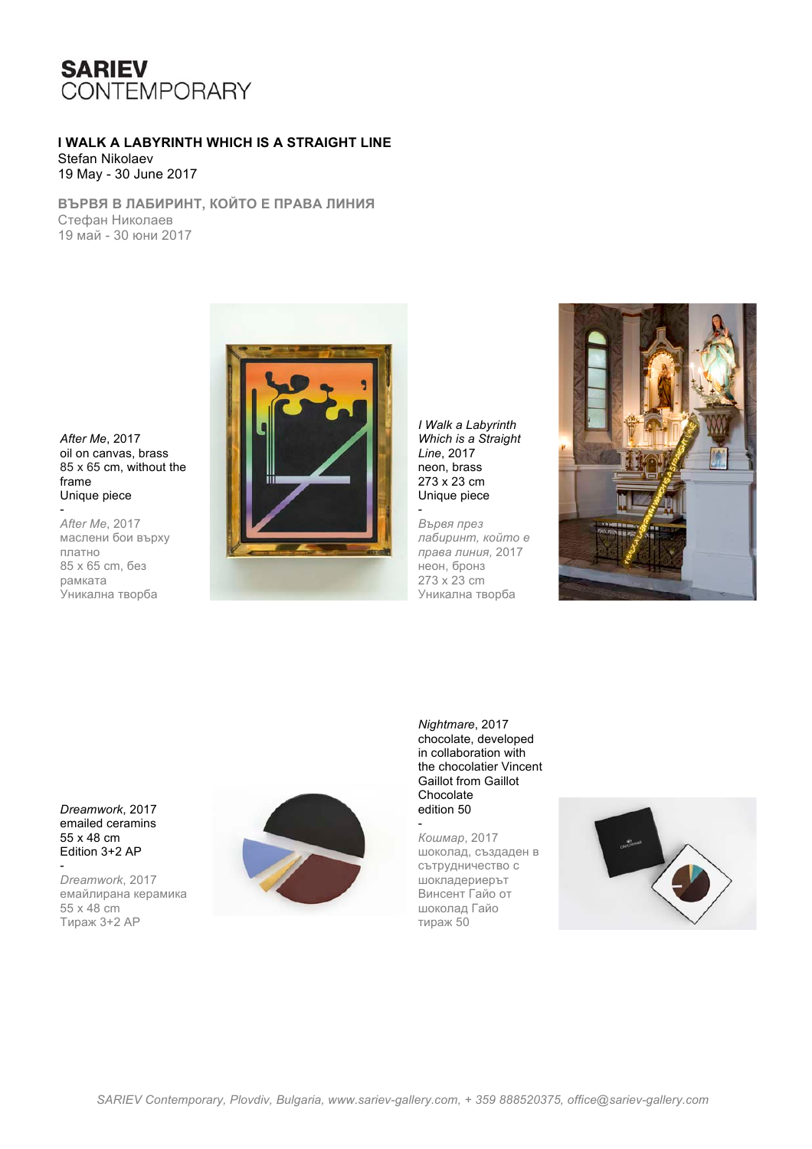

## **I WALK A LABYRINTH WHICH IS A STRAIGHT LINE**  Stefan Nikolaev

19 May - 30 June 2017

**ВЪРВЯ В ЛАБИРИНТ, КОЙТО Е ПРАВА ЛИНИЯ** Стефан Николаев 19 май - 30 юни 2017

*After Me*, 2017 oil on canvas, brass 85 x 65 cm, without the frame Unique piece

- *After Me*, 2017 маслени бои върху платно 85 x 65 cm, без рамката Уникална творба



*I Walk a Labyrinth Which is a Straight Line*, 2017 neon, brass 273 x 23 cm Unique piece

-

*Вървя през лабиринт, който е права линия,* 2017 неон, бронз 273 x 23 cm Уникална творба



*Dreamwork*, 2017 emailed ceramins 55 x 48 cm Edition 3+2 AP

- *Dreamwork*, 2017 емайлирана керамика 55 x 48 cm Тираж 3+2 АР



*Nightmare*, 2017 chocolate, developed in collaboration with the chocolatier Vincent Gaillot from Gaillot Chocolate edition 50

- *Кошмар*, 2017 шоколад, създаден в сътрудничество с шокладериерът Винсент Гайо от шоколад Гайо тираж 50